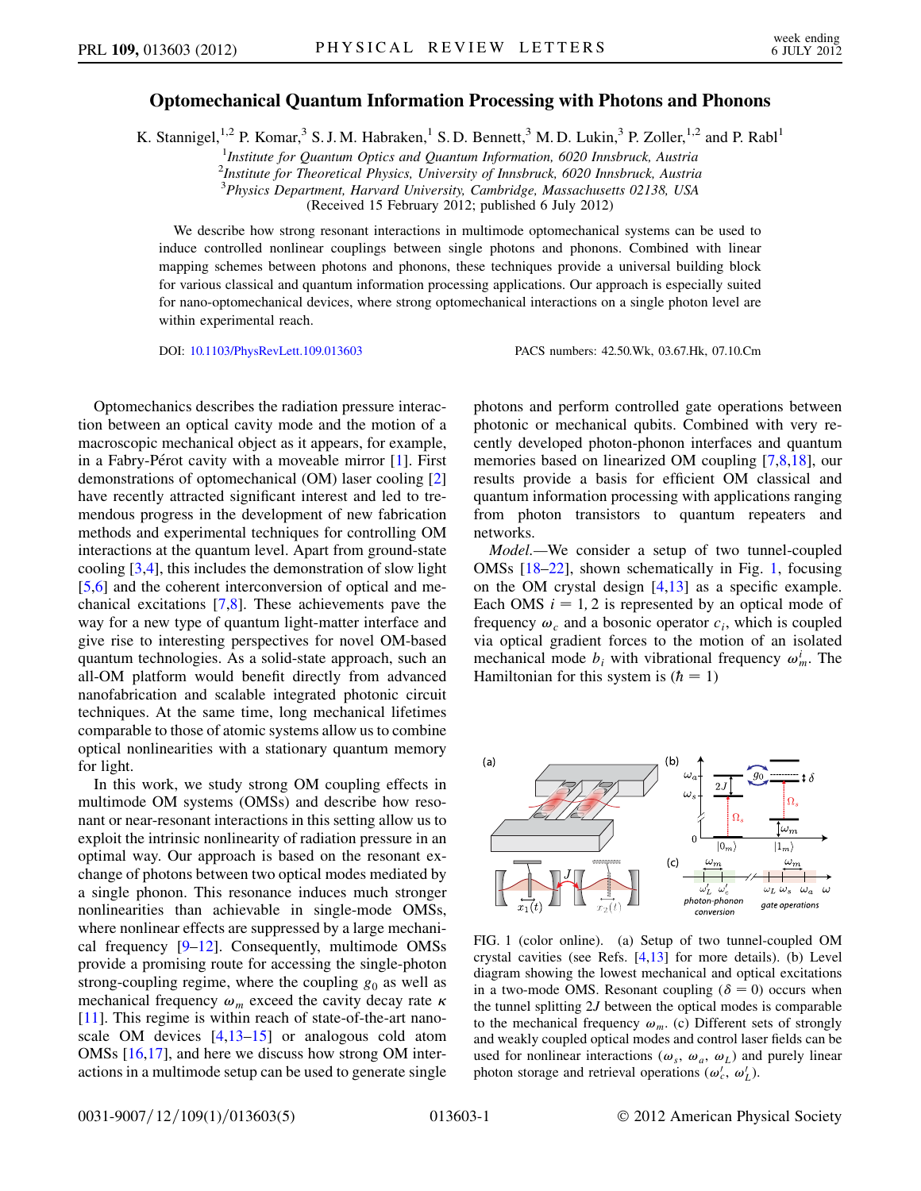## Optomechanical Quantum Information Processing with Photons and Phonons

K. Stannigel,<sup>1,2</sup> P. Komar,<sup>3</sup> S. J. M. Habraken,<sup>1</sup> S. D. Bennett,<sup>3</sup> M. D. Lukin,<sup>3</sup> P. Zoller,<sup>1,2</sup> and P. Rabl<sup>1</sup>

<sup>1</sup>Institute for Quantum Optics and Quantum Information, 6020 Innsbruck, Austria

2 Institute for Theoretical Physics, University of Innsbruck, 6020 Innsbruck, Austria

<sup>3</sup>Physics Department, Harvard University, Cambridge, Massachusetts 02138, USA

(Received 15 February 2012; published 6 July 2012)

We describe how strong resonant interactions in multimode optomechanical systems can be used to induce controlled nonlinear couplings between single photons and phonons. Combined with linear mapping schemes between photons and phonons, these techniques provide a universal building block for various classical and quantum information processing applications. Our approach is especially suited for nano-optomechanical devices, where strong optomechanical interactions on a single photon level are within experimental reach.

DOI: [10.1103/PhysRevLett.109.013603](http://dx.doi.org/10.1103/PhysRevLett.109.013603) PACS numbers: 42.50.Wk, 03.67.Hk, 07.10.Cm

Optomechanics describes the radiation pressure interaction between an optical cavity mode and the motion of a macroscopic mechanical object as it appears, for example, in a Fabry-Pérot cavity with a moveable mirror  $[1]$  $[1]$  $[1]$ . First demonstrations of optomechanical (OM) laser cooling [\[2\]](#page-3-1) have recently attracted significant interest and led to tremendous progress in the development of new fabrication methods and experimental techniques for controlling OM interactions at the quantum level. Apart from ground-state cooling [\[3,](#page-3-2)[4\]](#page-3-3), this includes the demonstration of slow light [\[5,](#page-3-4)[6](#page-3-5)] and the coherent interconversion of optical and mechanical excitations [\[7](#page-4-0),[8](#page-4-1)]. These achievements pave the way for a new type of quantum light-matter interface and give rise to interesting perspectives for novel OM-based quantum technologies. As a solid-state approach, such an all-OM platform would benefit directly from advanced nanofabrication and scalable integrated photonic circuit techniques. At the same time, long mechanical lifetimes comparable to those of atomic systems allow us to combine optical nonlinearities with a stationary quantum memory for light.

In this work, we study strong OM coupling effects in multimode OM systems (OMSs) and describe how resonant or near-resonant interactions in this setting allow us to exploit the intrinsic nonlinearity of radiation pressure in an optimal way. Our approach is based on the resonant exchange of photons between two optical modes mediated by a single phonon. This resonance induces much stronger nonlinearities than achievable in single-mode OMSs, where nonlinear effects are suppressed by a large mechanical frequency  $[9-12]$  $[9-12]$  $[9-12]$  $[9-12]$ . Consequently, multimode OMSs provide a promising route for accessing the single-photon strong-coupling regime, where the coupling  $g_0$  as well as mechanical frequency  $\omega_m$  exceed the cavity decay rate  $\kappa$ [\[11\]](#page-4-4). This regime is within reach of state-of-the-art nanoscale OM devices [[4,](#page-3-3)[13](#page-4-5)[–15\]](#page-4-6) or analogous cold atom OMSs [\[16](#page-4-7)[,17\]](#page-4-8), and here we discuss how strong OM interactions in a multimode setup can be used to generate single photons and perform controlled gate operations between photonic or mechanical qubits. Combined with very recently developed photon-phonon interfaces and quantum memories based on linearized OM coupling [\[7,](#page-4-0)[8](#page-4-1)[,18](#page-4-9)], our results provide a basis for efficient OM classical and quantum information processing with applications ranging from photon transistors to quantum repeaters and networks.

Model.—We consider a setup of two tunnel-coupled OMSs [\[18–](#page-4-9)[22](#page-4-10)], shown schematically in Fig. [1](#page-0-0), focusing on the OM crystal design [[4](#page-3-3)[,13\]](#page-4-5) as a specific example. Each OMS  $i = 1, 2$  is represented by an optical mode of frequency  $\omega_c$  and a bosonic operator  $c_i$ , which is coupled via optical gradient forces to the motion of an isolated mechanical mode  $b_i$  with vibrational frequency  $\omega_m^i$ . The Hamiltonian for this system is  $(h = 1)$ 

<span id="page-0-0"></span>

<span id="page-0-1"></span>FIG. 1 (color online). (a) Setup of two tunnel-coupled OM crystal cavities (see Refs. [\[4,](#page-3-3)[13\]](#page-4-5) for more details). (b) Level diagram showing the lowest mechanical and optical excitations in a two-mode OMS. Resonant coupling  $(\delta = 0)$  occurs when<br>the tunnel splitting 2*I* between the optical modes is comparable the tunnel splitting 2J between the optical modes is comparable to the mechanical frequency  $\omega_m$ . (c) Different sets of strongly and weakly coupled optical modes and control laser fields can be used for nonlinear interactions ( $\omega_s$ ,  $\omega_a$ ,  $\omega_L$ ) and purely linear photon storage and retrieval operations  $(\omega'_c, \omega'_L)$ .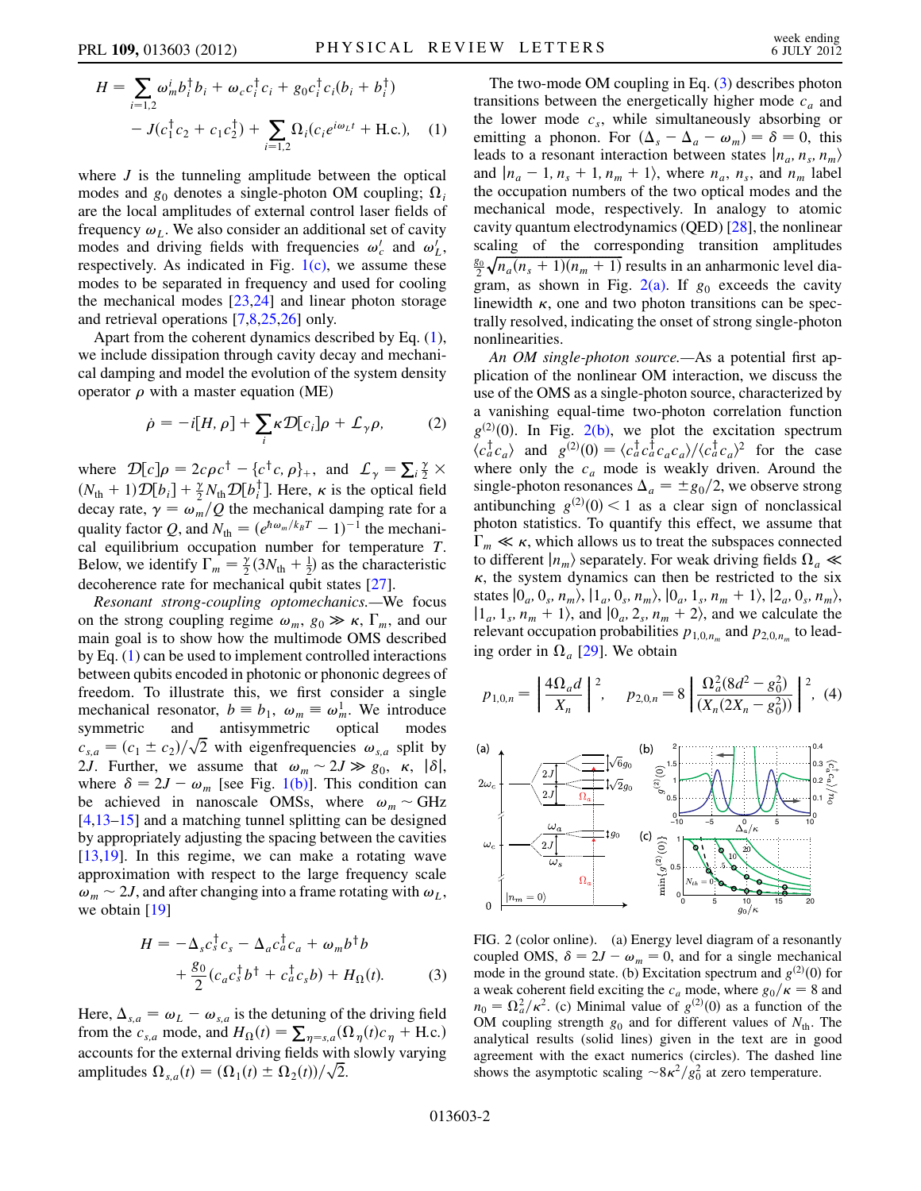<span id="page-1-0"></span>
$$
H = \sum_{i=1,2} \omega_m^i b_i^{\dagger} b_i + \omega_c c_i^{\dagger} c_i + g_0 c_i^{\dagger} c_i (b_i + b_i^{\dagger})
$$
  
-  $J(c_1^{\dagger} c_2 + c_1 c_2^{\dagger}) + \sum_{i=1,2} \Omega_i (c_i e^{i\omega_L t} + \text{H.c.}),$  (1)

where  $J$  is the tunneling amplitude between the optical modes and  $g_0$  denotes a single-photon OM coupling;  $\Omega_i$ are the local amplitudes of external control laser fields of frequency  $\omega_L$ . We also consider an additional set of cavity modes and driving fields with frequencies  $\omega'_c$  and  $\omega'_L$ , respectively. As indicated in Fig.  $1(c)$ , we assume these modes to be separated in frequency and used for cooling the mechanical modes [[23,](#page-4-11)[24](#page-4-12)] and linear photon storage and retrieval operations [[7](#page-4-0),[8,](#page-4-1)[25](#page-4-13),[26](#page-4-14)] only.

<span id="page-1-3"></span>Apart from the coherent dynamics described by Eq. ([1\)](#page-1-0), we include dissipation through cavity decay and mechanical damping and model the evolution of the system density operator  $\rho$  with a master equation (ME)

$$
\dot{\rho} = -i[H, \rho] + \sum_{i} \kappa \mathcal{D}[c_i] \rho + \mathcal{L}_{\gamma} \rho, \qquad (2)
$$

where  $\mathcal{D}[c]\rho = 2c\rho c^{\dagger} - \{c^{\dagger}c, \rho\}_+$ , and  $\mathcal{L}_{\gamma} = \sum_{i} \frac{\gamma}{2}$ <br>(*M* + 1)  $\mathcal{D}[b, l] + \gamma M$   $\mathcal{D}[b, l]$  Here *w* is the ortical 6 where  $D[c]\rho = 2c\rho c^3 - (c^3 c, \rho_f)$ , and  $L_\gamma = \sum_i \frac{1}{2} \times (N_{\text{th}} + 1)D[b_i] + \frac{\gamma}{2}N_{\text{th}}D[b_i^{\dagger}]$ . Here,  $\kappa$  is the optical field decay rate  $\gamma = \omega$ . (O the mechanical damning rate for a  $\frac{d}{dt}$  is  $\frac{d}{dt}$  in  $\frac{d}{dt}$  in the mechanical damping rate for a discussion  $\phi = \omega_m / Q$  the mechanical damping rate for a quality factor  $Q$  and  $N_t = (\rho^{h\omega_m / k_B T} - 1)^{-1}$  the mechanical quality factor Q, and  $N_{\text{th}} = (e^{\hbar \omega_m/k_B T} - 1)^{-1}$  the mechani-<br>cal equilibrium occupation number for temperature T cal equilibrium occupation number for temperature T. Below, we identify  $\Gamma_m = \frac{\gamma}{2} (3N_{\text{th}} + \frac{1}{2})$  as the characteristic<br>decoherence rate for mechanical qubit states [27] decoherence rate for mechanical qubit states [[27](#page-4-15)].

Resonant strong-coupling optomechanics.—We focus on the strong coupling regime  $\omega_m$ ,  $g_0 \gg \kappa$ ,  $\Gamma_m$ , and our main goal is to show how the multimode OMS described main goal is to show how the multimode OMS described by Eq. ([1\)](#page-1-0) can be used to implement controlled interactions between qubits encoded in photonic or phononic degrees of freedom. To illustrate this, we first consider a single mechanical resonator,  $b \equiv b_1$ ,  $\omega_m \equiv \omega_m^1$ . We introduce<br>symmetric and antisymmetric optical modes symmetric and antisymmetric optical modes  $c_{s,a} = (c_1 \pm c_2)/\sqrt{2}$  with eigenfrequencies  $\omega_{s,a}$  split by<br>21 Further we assume that  $\omega \approx 2I \gg g_s \times |\delta|$ 2*J*. Further, we assume that  $\omega_m \sim 2J \gg g_0$ ,  $\kappa$ ,  $|\delta|$ , where  $\delta = 2I - \omega$ , [see Fig. 1(b)]. This condition can where  $\delta = 2J - \omega_m$  [see Fig. [1\(b\)\]](#page-0-1). This condition can<br>be achieved in nanoscale OMSs, where  $\omega \sim GHz$ be achieved in nanoscale OMSs, where  $\omega_m \sim \text{GHz}$ [\[4,](#page-3-3)[13–](#page-4-5)[15](#page-4-6)] and a matching tunnel splitting can be designed by appropriately adjusting the spacing between the cavities [\[13](#page-4-5)[,19\]](#page-4-16). In this regime, we can make a rotating wave approximation with respect to the large frequency scale  $\omega_m \sim 2J$ , and after changing into a frame rotating with  $\omega_L$ , we obtain [[19](#page-4-16)]

<span id="page-1-1"></span>
$$
H = -\Delta_s c_s^{\dagger} c_s - \Delta_a c_a^{\dagger} c_a + \omega_m b^{\dagger} b
$$
  
+ 
$$
\frac{g_0}{2} (c_a c_s^{\dagger} b^{\dagger} + c_a^{\dagger} c_s b) + H_{\Omega}(t).
$$
 (3)

Here,  $\Delta_{s,a} = \omega_L - \omega_{s,a}$  is the detuning of the driving field from the  $c_{s,a}$  mode, and  $H_{\Omega}(t) = \sum_{\eta = s,a} (\Omega_{\eta}(t) c_{\eta} + \text{H.c.})$ accounts for the external driving fields with slowly varying amplitudes  $\Omega_{s,a}(t) = (\Omega_1(t) \pm \Omega_2(t))/\sqrt{2}$ .

The two-mode OM coupling in Eq. [\(3\)](#page-1-1) describes photon transitions between the energetically higher mode  $c_a$  and the lower mode  $c_s$ , while simultaneously absorbing or emitting a phonon. For  $(\Delta_s - \Delta_a - \omega_m) = \delta = 0$ , this leads to a resonant interaction between states  $|n_a, n_s, n_m\rangle$ and  $|n_a - 1, n_s + 1, n_m + 1\rangle$ , where  $n_a$ ,  $n_s$ , and  $n_m$  label the occupation numbers of the two optical modes and the mechanical mode, respectively. In analogy to atomic cavity quantum electrodynamics (QED) [[28](#page-4-17)], the nonlinear scaling of the corresponding transition amplitudes  $\frac{g_0}{2} \sqrt{n_a(n_s+1)(n_m+1)}$  results in an anharmonic level dia-<br>oram as shown in Fig. 2(a) If a exceeds the cavity gram, as shown in Fig.  $2(a)$ . If  $g_0$  exceeds the cavity linewidth  $\kappa$ , one and two photon transitions can be spectrally resolved, indicating the onset of strong single-photon nonlinearities.

An *OM* single-photon source.—As a potential first application of the nonlinear OM interaction, we discuss the use of the OMS as a single-photon source, characterized by a vanishing equal-time two-photon correlation function  $g^{(2)}(0)$ . In Fig. [2\(b\),](#page-1-2) we plot the excitation spectrum<br> $\langle c^{\dagger} c \rangle$  and  $g^{(2)}(0) = \langle c^{\dagger} c^{\dagger} c, c \rangle / \langle c^{\dagger} c \rangle^2$  for the case  $\langle c_a^{\dagger} c_a \rangle$  and  $g^{(2)}(0) = \langle c_a^{\dagger} c_a^{\dagger} c_a c_a \rangle / \langle c_a^{\dagger} c_a^{\dagger} c_a \rangle^2$  for the case<br>where only the c mode is weakly driven. Around the where only the  $c_a$  mode is weakly driven. Around the single-photon resonances  $\Delta_a = \pm g_0/2$ , we observe strong antibunching  $g^{(2)}(0) < 1$  as a clear sign of nonclassical<br>photon statistics. To quantify this effect, we assume that photon statistics. To quantify this effect, we assume that  $\Gamma_m \ll \kappa$ , which allows us to treat the subspaces connected<br>to different  $\vert n \vert$  senarately. For weak driving fields  $\Omega \ll$ to different  $|n_m\rangle$  separately. For weak driving fields  $\Omega_a \ll$  $\kappa$ , the system dynamics can then be restricted to the six states  $|0_a, 0_s, n_m\rangle$ ,  $|1_a, 0_s, n_m\rangle$ ,  $|0_a, 1_s, n_m + 1\rangle$ ,  $|2_a, 0_s, n_m\rangle$ ,  $|1_a, 1_s, n_m + 1\rangle$ , and  $|0_a, 2_s, n_m + 2\rangle$ , and we calculate the relevant occupation probabilities  $p_{1,0,n_m}$  and  $p_{2,0,n_m}$  to leading order in  $\Omega_a$  [[29](#page-4-18)]. We obtain

$$
p_{1,0,n} = \left| \frac{4\Omega_a d}{X_n} \right|^2, \quad p_{2,0,n} = 8 \left| \frac{\Omega_a^2 (8d^2 - g_0^2)}{(X_n (2X_n - g_0^2))} \right|^2, \tag{4}
$$



<span id="page-1-2"></span>FIG. 2 (color online). (a) Energy level diagram of a resonantly coupled OMS,  $\delta = 2J - \omega_m = 0$ , and for a single mechanical<br>mode in the ground state (b) Excitation spectrum and  $g^{(2)}(0)$  for mode in the ground state. (b) Excitation spectrum and  $g^{(2)}(0)$  for a weak coherent field exciting the c, mode, where  $g_{\alpha}/\kappa = 8$  and a weak coherent field exciting the  $c_a$  mode, where  $g_0/\kappa = 8$  and  $n_0 = \Omega_a^2 / \kappa^2$ . (c) Minimal value of  $g^{(2)}(0)$  as a function of the OM coupling strength  $g_0$  and for different values of N. OM coupling strength  $g_0$  and for different values of  $N_{th}$ . The analytical results (solid lines) given in the text are in good agreement with the exact numerics (circles). The dashed line shows the asymptotic scaling  $\sim 8\kappa^2/g_0^2$  at zero temperature.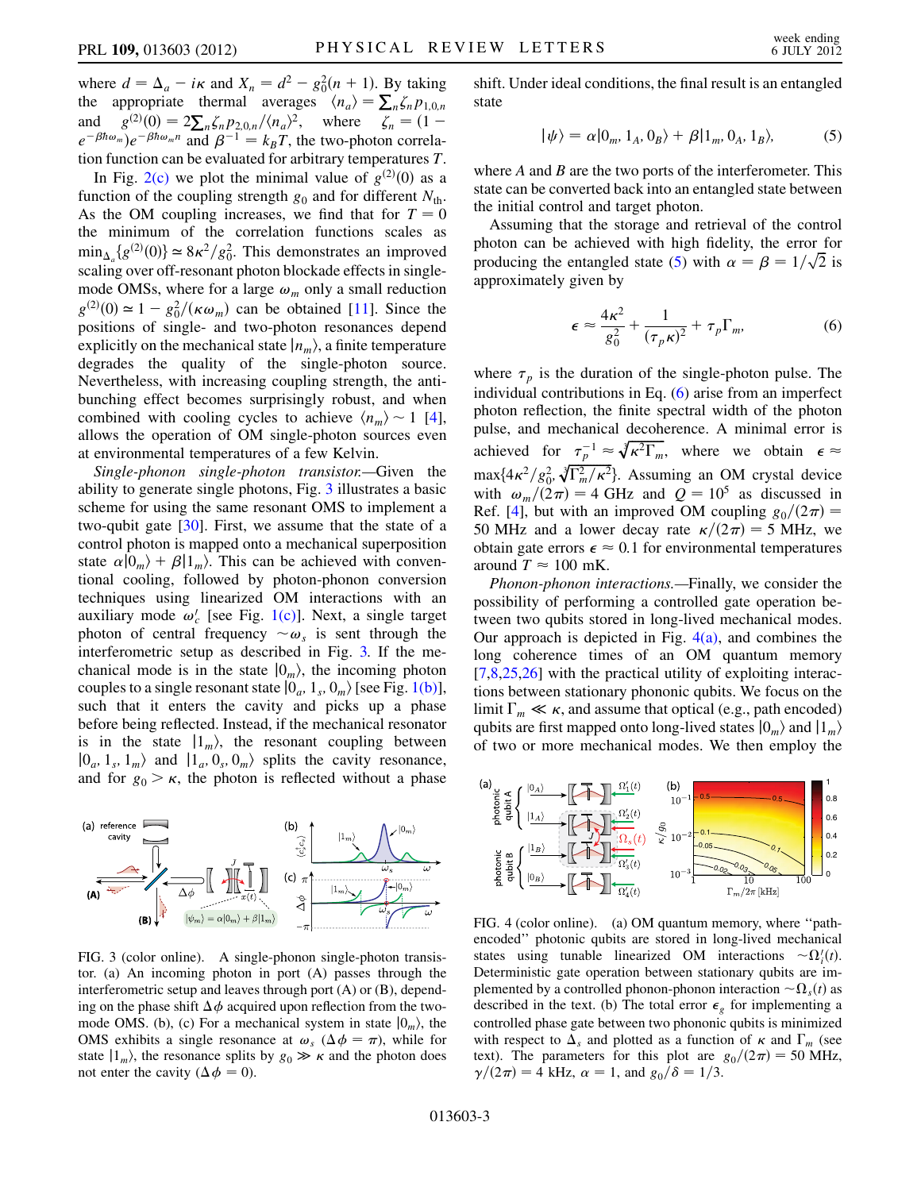where  $d = \Delta_a - i\kappa$  and  $X_n = d^2 - g_0^2(n + 1)$ . By taking<br>the appropriate thermal averages  $\langle n \rangle = \sum \zeta n_{\text{max}}$ the appropriate thermal averages  $\langle n_a \rangle = \sum_n \zeta_n p_{1,0,n}$ <br>and  $a^{(2)}(0) = 2 \sum \zeta_n p_{1,0,n}$  where  $\zeta_n = (1$ and  $g^{(2)}(0) = 2\sum_{n} \zeta_n p_{2,0,n}/\langle n_a \rangle^2$ , where  $\zeta_n = (1 - e^{-\beta \hbar \omega_m}e^{-\beta \hbar \omega_m n} \text{ and } \beta^{-1} = k_T T$  the two-photon correla $e^{-\beta \hbar \omega_m}$ ) $e^{-\beta \hbar \omega_m n}$  and  $\beta^{-1} = k_B T$ , the two-photon correlation function can be evaluated for arbitrary temperatures T.

In Fig. [2\(c\)](#page-1-2) we plot the minimal value of  $g^{(2)}(0)$  as a action of the coupling strength  $g_0$  and for different  $N_0$ . function of the coupling strength  $g_0$  and for different  $N_{\text{th}}$ . As the OM coupling increases, we find that for  $T = 0$ the minimum of the correlation functions scales as  $\min_{\Delta_a} \{g^{(2)}(0)\} \simeq 8\kappa^2/g_0^2$ . This demonstrates an improved<br>scaling over off-resonant photon blockade effects in singlescaling over off-resonant photon blockade effects in singlemode OMSs, where for a large  $\omega_m$  only a small reduction  $g^{(2)}(0) \approx 1 - g_0^2/(\kappa \omega_m)$  can be obtained [\[11\]](#page-4-4). Since the nositions of single- and two-photon resonances depend positions of single- and two-photon resonances depend explicitly on the mechanical state  $|n_m\rangle$ , a finite temperature degrades the quality of the single-photon source. Nevertheless, with increasing coupling strength, the antibunching effect becomes surprisingly robust, and when combined with cooling cycles to achieve  $\langle n_m \rangle \sim 1$  [[4\]](#page-3-3), allows the operation of OM single-photon sources even at environmental temperatures of a few Kelvin.

Single-phonon single-photon transistor.—Given the ability to generate single photons, Fig. [3](#page-2-0) illustrates a basic scheme for using the same resonant OMS to implement a two-qubit gate [[30](#page-4-19)]. First, we assume that the state of a control photon is mapped onto a mechanical superposition state  $\alpha|0_m\rangle + \beta|1_m\rangle$ . This can be achieved with conventional cooling, followed by photon-phonon conversion techniques using linearized OM interactions with an auxiliary mode  $\omega_c$  [see Fig. [1\(c\)\]](#page-0-1). Next, a single target photon of central frequency  $\sim \omega_s$  is sent through the interferometric setup as described in Fig. [3.](#page-2-0) If the mechanical mode is in the state  $|0_m\rangle$ , the incoming photon couples to a single resonant state  $|0_a, 1_s, 0_m\rangle$  [see Fig. [1\(b\)\]](#page-0-1), such that it enters the cavity and picks up a phase before being reflected. Instead, if the mechanical resonator is in the state  $|1_m\rangle$ , the resonant coupling between  $|0_a, 1_s, 1_m\rangle$  and  $|1_a, 0_s, 0_m\rangle$  splits the cavity resonance, and for  $g_0 > \kappa$ , the photon is reflected without a phase

<span id="page-2-0"></span>

FIG. 3 (color online). A single-phonon single-photon transistor. (a) An incoming photon in port (A) passes through the interferometric setup and leaves through port (A) or (B), depending on the phase shift  $\Delta \phi$  acquired upon reflection from the twomode OMS. (b), (c) For a mechanical system in state  $|0_m\rangle$ , the OMS exhibits a single resonance at  $\omega_s$  ( $\Delta \phi = \pi$ ), while for state  $|1_m\rangle$ , the resonance splits by  $g_0 \gg \kappa$  and the photon does not enter the cavity ( $\Delta \phi = 0$ ).

<span id="page-2-1"></span>shift. Under ideal conditions, the final result is an entangled state

$$
|\psi\rangle = \alpha|0_m, 1_A, 0_B\rangle + \beta|1_m, 0_A, 1_B\rangle, \tag{5}
$$

where  $A$  and  $B$  are the two ports of the interferometer. This state can be converted back into an entangled state between the initial control and target photon.

<span id="page-2-2"></span>Assuming that the storage and retrieval of the control photon can be achieved with high fidelity, the error for producing the entangled state [\(5](#page-2-1)) with  $\alpha = \beta = 1/\sqrt{2}$  is approximately given by approximately given by

$$
\epsilon \approx \frac{4\kappa^2}{g_0^2} + \frac{1}{(\tau_p \kappa)^2} + \tau_p \Gamma_m, \tag{6}
$$

where  $\tau_p$  is the duration of the single-photon pulse. The individual contributions in Eq. ([6\)](#page-2-2) arise from an imperfect photon reflection, the finite spectral width of the photon pulse, and mechanical decoherence. A minimal error is achieved for  $\tau_p^{-1} \approx \sqrt[3]{\kappa^2 \Gamma_m}$ , where we obtain  $\epsilon \approx$ max $\{4\kappa^2/g_0^2, \sqrt[3]{\Gamma_m^2/\kappa^2}\}$ . Assuming an OM crystal device with  $\omega_m/(2\pi) = 4$  GHz and  $Q = 10^5$  as discussed in Ref. [\[4](#page-3-3)], but with an improved OM coupling  $g_0/(2\pi)$  = 50 MHz and a lower decay rate  $\kappa/(2\pi) = 5$  MHz, we obtain gate errors  $\epsilon \approx 0.1$  for environmental temperatures around  $T \approx 100$  mK.

Phonon-phonon interactions.—Finally, we consider the possibility of performing a controlled gate operation between two qubits stored in long-lived mechanical modes. Our approach is depicted in Fig.  $4(a)$ , and combines the long coherence times of an OM quantum memory [\[7,](#page-4-0)[8](#page-4-1)[,25,](#page-4-13)[26\]](#page-4-14) with the practical utility of exploiting interactions between stationary phononic qubits. We focus on the limit  $\Gamma_m \ll \kappa$ , and assume that optical (e.g., path encoded)<br>qubits are first manned onto long-lived states  $|0\rangle$  and  $|1\rangle$ qubits are first mapped onto long-lived states  $|0_m\rangle$  and  $|1_m\rangle$ of two or more mechanical modes. We then employ the

<span id="page-2-4"></span>

<span id="page-2-3"></span>FIG. 4 (color online). (a) OM quantum memory, where ''pathencoded'' photonic qubits are stored in long-lived mechanical states using tunable linearized OM interactions  $\sim \Omega_i^i(t)$ .<br>Deterministic gate operation between stationary qubits are im-Deterministic gate operation between stationary qubits are implemented by a controlled phonon-phonon interaction  $\sim \Omega_{\rm s}(t)$  as described in the text. (b) The total error  $\epsilon_{g}$  for implementing a controlled phase gate between two phononic qubits is minimized with respect to  $\Delta_s$  and plotted as a function of  $\kappa$  and  $\Gamma_m$  (see text). The parameters for this plot are  $g_0/(2\pi) = 50$  MHz,  $\gamma/(2\pi) = 4$  kHz,  $\alpha = 1$ , and  $g_0/\delta = 1/3$ .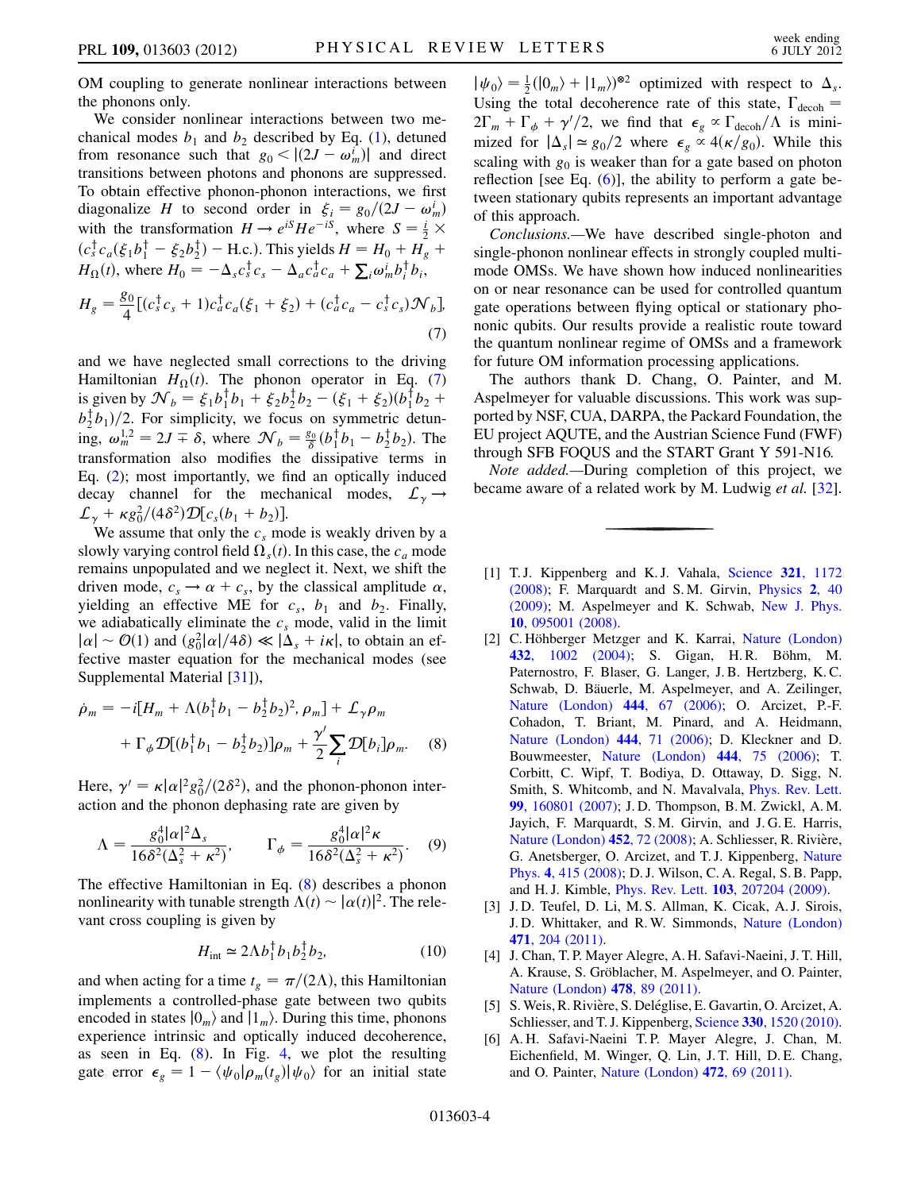OM coupling to generate nonlinear interactions between the phonons only.

We consider nonlinear interactions between two mechanical modes  $b_1$  and  $b_2$  described by Eq. ([1\)](#page-1-0), detuned from resonance such that  $g_0 < |(2J - \omega_m^i)|$  and direct transitions between photons and phonons are suppressed transitions between photons and phonons are suppressed. To obtain effective phonon-phonon interactions, we first diagonalize H to second order in  $\xi_i = g_0/(2J - \omega_m^i)$ magonanze *H* to second order in  $\xi_i = g_0/(2J - \omega_m)$ <br>with the transformation  $H \to e^{iS}He^{-iS}$ , where  $S = \frac{i}{2} \times$ <br>(c)  $\xi_i$  is  $\xi_j$  if  $\xi_j$  if  $\zeta_j$  is viable  $H = H + H + H$  $(c_s^{\dagger} c_a(\xi_1 b_1^{\dagger} - \xi_2 b_2^{\dagger}) - \text{H.c.})$ . This yields  $H = H_0 + \overline{H_g} +$ <br> $H_0(t)$  where  $H_0 = -\Lambda_0 \dot{\xi}_0 + \Lambda_0 \dot{\xi}_0 + \sum_{i=1}^{\infty} (i \xi_i b_i^{\dagger} b_i^{\dagger})$  $H_{\Omega}(t)$ , where  $H_0 = -\Delta_s c_s^{\dagger} c_s - \Delta_a c_a^{\dagger} c_a + \sum_i \omega_m^i b_i^{\dagger} b_i$ ,  $H_g = \frac{g_0}{4} [(c_s^{\dagger} c_s + 1)c_a^{\dagger} c_a(\xi_1 + \xi_2) + (c_a^{\dagger} c_a - c_s^{\dagger} c_s) \mathcal{N}_b],$ (7)

<span id="page-3-6"></span>and we have neglected small corrections to the driving Hamiltonian  $H_{\Omega}(t)$ . The phonon operator in Eq. [\(7\)](#page-3-6) is given by  $\mathcal{N}_b = \xi_1 b_1^{\dagger} b_1 + \xi_2 b_2^{\dagger} b_2 - (\xi_1 + \xi_2)(b_1^{\dagger} b_2 + b_2^{\dagger} b_2)$  $b_2^{\dagger}b_1^{\dagger}/2$ . For simplicity, we focus on symmetric detun-<br>ing.  $c_1^{1,2} = 2I \pm 8$ , where  $2C_1 = 89 (b_1^{\dagger}b_1 - b_1^{\dagger}b_1)$ . The ing,  $\omega_m^{1,2} = 2J \pm \delta$ , where  $\mathcal{N}_b = \frac{g_0}{\delta} (b_1^{\dagger} b_1 - b_2^{\dagger} b_2)$ . The transformation also modifies the dissipative terms in Eq. [\(2](#page-1-3)); most importantly, we find an optically induced decay channel for the mechanical modes,  $\mathcal{L}_{\gamma} \rightarrow$  $\mathcal{L}_{\gamma} + \kappa g_0^2/(4\delta^2) \mathcal{D}[c_s(b_1 + b_2)].$ <br>We assume that only the como

We assume that only the  $c_s$  mode is weakly driven by a slowly varying control field  $\Omega_s(t)$ . In this case, the  $c_a$  mode remains unpopulated and we neglect it. Next, we shift the driven mode,  $c_s \rightarrow \alpha + c_s$ , by the classical amplitude  $\alpha$ , yielding an effective ME for  $c_s$ ,  $b_1$  and  $b_2$ . Finally, we adiabatically eliminate the  $c_s$  mode, valid in the limit  $|\alpha| \sim \mathcal{O}(1)$  and  $(g_0^2|\alpha|/4\delta) \ll |\mathring{\Delta}_s + i\kappa|$ , to obtain an effective master equation for the mechanical modes (see fective master equation for the mechanical modes (see Supplemental Material [[31](#page-4-20)]),

<span id="page-3-7"></span>
$$
\dot{\rho}_m = -i[H_m + \Lambda(b_1^{\dagger}b_1 - b_2^{\dagger}b_2)^2, \rho_m] + \mathcal{L}_{\gamma}\rho_m + \Gamma_{\phi}\mathcal{D}[(b_1^{\dagger}b_1 - b_2^{\dagger}b_2)]\rho_m + \frac{\gamma'}{2}\sum_i \mathcal{D}[b_i]\rho_m.
$$
 (8)

Here,  $\gamma' = \kappa |\alpha|^2 g_0^2/(2\delta^2)$ , and the phonon-phonon inter-<br>action and the phonon dephasing rate are given by action and the phonon dephasing rate are given by

$$
\Lambda = \frac{g_0^4 |\alpha|^2 \Delta_s}{16\delta^2 (\Delta_s^2 + \kappa^2)}, \qquad \Gamma_\phi = \frac{g_0^4 |\alpha|^2 \kappa}{16\delta^2 (\Delta_s^2 + \kappa^2)}.
$$
 (9)

The effective Hamiltonian in Eq. ([8](#page-3-7)) describes a phonon nonlinearity with tunable strength  $\Lambda(t) \sim |\alpha(t)|^2$ . The relevant cross coupling is given by

$$
H_{\text{int}} \simeq 2\Lambda b_1^{\dagger} b_1 b_2^{\dagger} b_2, \tag{10}
$$

and when acting for a time  $t_g = \pi/(2\Lambda)$ , this Hamiltonian implements a controlled-phase gate between two qubits encoded in states  $|0_m\rangle$  and  $|1_m\rangle$ . During this time, phonons experience intrinsic and optically induced decoherence, as seen in Eq.  $(8)$ . In Fig. [4](#page-2-4), we plot the resulting gate error  $\epsilon_g = 1 - \langle \psi_0 | \rho_m(t_g) | \psi_0 \rangle$  for an initial state

 $|\psi_0\rangle = \frac{1}{2}(|0_m\rangle + |1_m\rangle)^{\otimes 2}$  optimized with respect to  $\Delta_s$ .<br>Using the total decoherence rate of this state  $\Gamma_s$ . Using the total decoherence rate of this state,  $\Gamma_{\text{decoh}} = 2\Gamma + \Gamma + \frac{2\pi}{3}$  we find that  $\epsilon \propto \Gamma_{\text{det}}/4$  is mini- $2\Gamma_m + \Gamma_{\phi} + \gamma'/2$ , we find that  $\epsilon_g \propto \Gamma_{\text{decoh}}/\Lambda$  is mini-<br>mized for  $|\Lambda| \propto g_0/2$  where  $\epsilon_g \propto A(\kappa/a)$ . While this mized for  $|\Delta_s| \approx g_0/2$  where  $\epsilon_g \propto 4(\kappa/g_0)$ . While this scaling with  $g_0$  is weaker than for a gate based on photon reflection [see Eq.  $(6)$  $(6)$  $(6)$ ], the ability to perform a gate between stationary qubits represents an important advantage of this approach.

Conclusions.—We have described single-photon and single-phonon nonlinear effects in strongly coupled multimode OMSs. We have shown how induced nonlinearities on or near resonance can be used for controlled quantum gate operations between flying optical or stationary phononic qubits. Our results provide a realistic route toward the quantum nonlinear regime of OMSs and a framework for future OM information processing applications.

The authors thank D. Chang, O. Painter, and M. Aspelmeyer for valuable discussions. This work was supported by NSF, CUA, DARPA, the Packard Foundation, the EU project AQUTE, and the Austrian Science Fund (FWF) through SFB FOQUS and the START Grant Y 591-N16.

Note added.—During completion of this project, we became aware of a related work by M. Ludwig et al. [[32\]](#page-4-21).

- <span id="page-3-0"></span>[1] T.J. Kippenberg and K.J. Vahala, [Science](http://dx.doi.org/10.1126/science.1156032) 321, 1172 [\(2008\)](http://dx.doi.org/10.1126/science.1156032); F. Marquardt and S. M. Girvin, [Physics](http://dx.doi.org/10.1103/Physics.2.40) 2, 40 [\(2009\)](http://dx.doi.org/10.1103/Physics.2.40); M. Aspelmeyer and K. Schwab, [New J. Phys.](http://dx.doi.org/10.1088/1367-2630/10/9/095001) 10[, 095001 \(2008\)](http://dx.doi.org/10.1088/1367-2630/10/9/095001).
- <span id="page-3-1"></span>[2] C. Höhberger Metzger and K. Karrai, [Nature \(London\)](http://dx.doi.org/10.1038/nature03118) 432[, 1002 \(2004\)](http://dx.doi.org/10.1038/nature03118); S. Gigan, H.R. Böhm, M. Paternostro, F. Blaser, G. Langer, J. B. Hertzberg, K. C. Schwab, D. Bäuerle, M. Aspelmeyer, and A. Zeilinger, [Nature \(London\)](http://dx.doi.org/10.1038/nature05273) 444, 67 (2006); O. Arcizet, P.-F. Cohadon, T. Briant, M. Pinard, and A. Heidmann, [Nature \(London\)](http://dx.doi.org/10.1038/nature05244) 444, 71 (2006); D. Kleckner and D. Bouwmeester, [Nature \(London\)](http://dx.doi.org/10.1038/nature05231) 444, 75 (2006); T. Corbitt, C. Wipf, T. Bodiya, D. Ottaway, D. Sigg, N. Smith, S. Whitcomb, and N. Mavalvala, [Phys. Rev. Lett.](http://dx.doi.org/10.1103/PhysRevLett.99.160801) 99[, 160801 \(2007\);](http://dx.doi.org/10.1103/PhysRevLett.99.160801) J. D. Thompson, B. M. Zwickl, A. M. Jayich, F. Marquardt, S. M. Girvin, and J. G. E. Harris, [Nature \(London\)](http://dx.doi.org/10.1038/nature06715) 452, 72 (2008); A. Schliesser, R. Rivière, G. Anetsberger, O. Arcizet, and T. J. Kippenberg, [Nature](http://dx.doi.org/10.1038/nphys939) Phys. 4[, 415 \(2008\)](http://dx.doi.org/10.1038/nphys939); D. J. Wilson, C. A. Regal, S. B. Papp, and H. J. Kimble, Phys. Rev. Lett. 103[, 207204 \(2009\).](http://dx.doi.org/10.1103/PhysRevLett.103.207204)
- <span id="page-3-3"></span><span id="page-3-2"></span>[3] J. D. Teufel, D. Li, M. S. Allman, K. Cicak, A. J. Sirois, J. D. Whittaker, and R. W. Simmonds, [Nature \(London\)](http://dx.doi.org/10.1038/nature09898) 471[, 204 \(2011\).](http://dx.doi.org/10.1038/nature09898)
- <span id="page-3-4"></span>[4] J. Chan, T. P. Mayer Alegre, A. H. Safavi-Naeini, J. T. Hill, A. Krause, S. Gröblacher, M. Aspelmeyer, and O. Painter, [Nature \(London\)](http://dx.doi.org/10.1038/nature10461) 478, 89 (2011).
- <span id="page-3-5"></span>[5] S. Weis, R. Rivière, S. Deléglise, E. Gavartin, O. Arcizet, A. Schliesser, and T. J. Kippenberg, Science 330[, 1520 \(2010\).](http://dx.doi.org/10.1126/science.1195596)
- [6] A. H. Safavi-Naeini T. P. Mayer Alegre, J. Chan, M. Eichenfield, M. Winger, Q. Lin, J. T. Hill, D. E. Chang, and O. Painter, [Nature \(London\)](http://dx.doi.org/10.1038/nature09933) 472, 69 (2011).